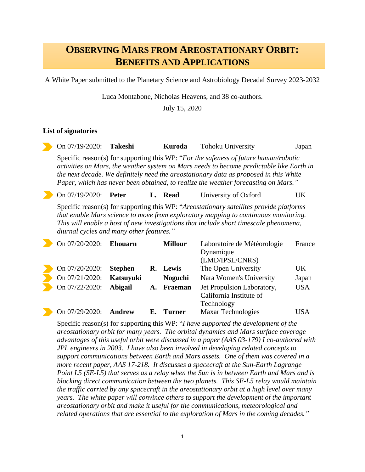## **OBSERVING MARS FROM AREOSTATIONARY ORBIT: BENEFITS AND APPLICATIONS**

A White Paper submitted to the Planetary Science and Astrobiology Decadal Survey 2023-2032

Luca Montabone, Nicholas Heavens, and 38 co-authors.

July 15, 2020

## **List of signatories**

| On 07/19/2020: Takeshi                                                                   |              | Kuroda  | <b>Tohoku University</b> | Japan |  |  |  |  |
|------------------------------------------------------------------------------------------|--------------|---------|--------------------------|-------|--|--|--|--|
| Specific reason(s) for supporting this WP: "For the safeness of future human/robotic     |              |         |                          |       |  |  |  |  |
| activities on Mars, the weather system on Mars needs to become predictable like Earth in |              |         |                          |       |  |  |  |  |
| the next decade. We definitely need the areostationary data as proposed in this White    |              |         |                          |       |  |  |  |  |
| Paper, which has never been obtained, to realize the weather forecasting on Mars."       |              |         |                          |       |  |  |  |  |
| On 07/19/2020:                                                                           | <b>Peter</b> | L. Read | University of Oxford     | UK    |  |  |  |  |

Specific reason(s) for supporting this WP: "*Areostationary satellites provide platforms that enable Mars science to move from exploratory mapping to continuous monitoring. This will enable a host of new investigations that include short timescale phenomena, diurnal cycles and many other features."*

| On 07/20/2020: | <b>Ehouarn</b> |    | <b>Millour</b> | Laboratoire de Météorologie<br>Dynamique<br>(LMD/IPSL/CNRS)         | France     |
|----------------|----------------|----|----------------|---------------------------------------------------------------------|------------|
| On 07/20/2020: | <b>Stephen</b> | R. | Lewis          | The Open University                                                 | UK         |
| On 07/21/2020: | Katsuyuki      |    | <b>Noguchi</b> | Nara Women's University                                             | Japan      |
| On 07/22/2020: | <b>Abigail</b> | A. | Fraeman        | Jet Propulsion Laboratory,<br>California Institute of<br>Technology | <b>USA</b> |
| On 07/29/2020: | Andrew         | Е. | <b>Turner</b>  | <b>Maxar Technologies</b>                                           | <b>USA</b> |

Specific reason(s) for supporting this WP: "*I have supported the development of the areostationary orbit for many years. The orbital dynamics and Mars surface coverage advantages of this useful orbit were discussed in a paper (AAS 03-179) I co-authored with JPL engineers in 2003. I have also been involved in developing related concepts to support communications between Earth and Mars assets. One of them was covered in a more recent paper, AAS 17-218. It discusses a spacecraft at the Sun-Earth Lagrange Point L5 (SE-L5) that serves as a relay when the Sun is in between Earth and Mars and is blocking direct communication between the two planets. This SE-L5 relay would maintain the traffic carried by any spacecraft in the areostationary orbit at a high level over many years. The white paper will convince others to support the development of the important areostationary orbit and make it useful for the communications, meteorological and related operations that are essential to the exploration of Mars in the coming decades."*